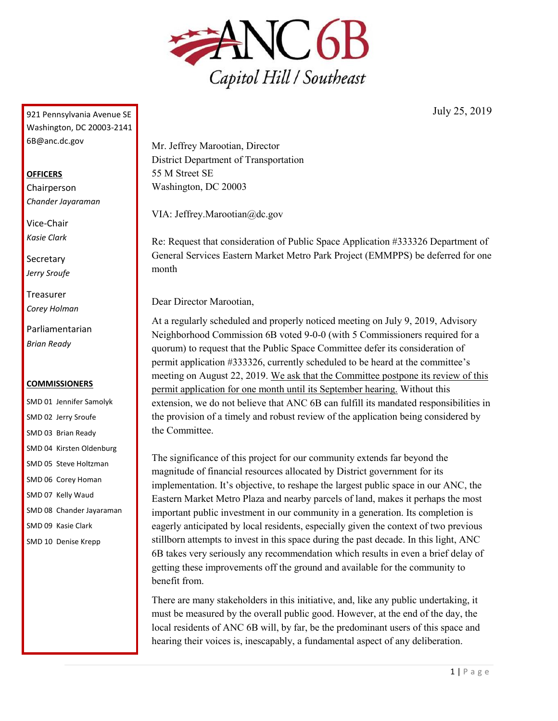

July 25, 2019

921 Pennsylvania Avenue SE Washington, DC 20003-2141 6B@anc.dc.gov

## **OFFICERS**

Chairperson *Chander Jayaraman*

Vice-Chair *Kasie Clark*

**Secretary** *Jerry Sroufe*

Treasurer *Corey Holman*

Parliamentarian *Brian Ready*

## **COMMISSIONERS**

SMD 01 Jennifer Samolyk SMD 02 Jerry Sroufe SMD 03 Brian Ready SMD 04 Kirsten Oldenburg SMD 05 Steve Holtzman SMD 06 Corey Homan SMD 07 Kelly Waud SMD 08 Chander Jayaraman SMD 09 Kasie Clark SMD 10 Denise Krepp

Mr. Jeffrey Marootian, Director District Department of Transportation 55 M Street SE Washington, DC 20003

VIA: Jeffrey.Marootian@dc.gov

Re: Request that consideration of Public Space Application #333326 Department of General Services Eastern Market Metro Park Project (EMMPPS) be deferred for one month

Dear Director Marootian,

At a regularly scheduled and properly noticed meeting on July 9, 2019, Advisory Neighborhood Commission 6B voted 9-0-0 (with 5 Commissioners required for a quorum) to request that the Public Space Committee defer its consideration of permit application #333326, currently scheduled to be heard at the committee's meeting on August 22, 2019. We ask that the Committee postpone its review of this permit application for one month until its September hearing. Without this extension, we do not believe that ANC 6B can fulfill its mandated responsibilities in the provision of a timely and robust review of the application being considered by the Committee.

The significance of this project for our community extends far beyond the magnitude of financial resources allocated by District government for its implementation. It's objective, to reshape the largest public space in our ANC, the Eastern Market Metro Plaza and nearby parcels of land, makes it perhaps the most important public investment in our community in a generation. Its completion is eagerly anticipated by local residents, especially given the context of two previous stillborn attempts to invest in this space during the past decade. In this light, ANC 6B takes very seriously any recommendation which results in even a brief delay of getting these improvements off the ground and available for the community to benefit from.

There are many stakeholders in this initiative, and, like any public undertaking, it must be measured by the overall public good. However, at the end of the day, the local residents of ANC 6B will, by far, be the predominant users of this space and hearing their voices is, inescapably, a fundamental aspect of any deliberation.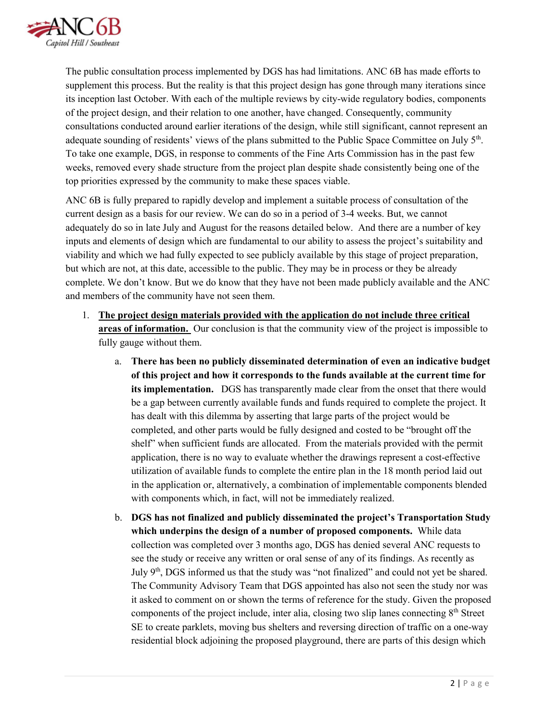

The public consultation process implemented by DGS has had limitations. ANC 6B has made efforts to supplement this process. But the reality is that this project design has gone through many iterations since its inception last October. With each of the multiple reviews by city-wide regulatory bodies, components of the project design, and their relation to one another, have changed. Consequently, community consultations conducted around earlier iterations of the design, while still significant, cannot represent an adequate sounding of residents' views of the plans submitted to the Public Space Committee on July 5<sup>th</sup>. To take one example, DGS, in response to comments of the Fine Arts Commission has in the past few weeks, removed every shade structure from the project plan despite shade consistently being one of the top priorities expressed by the community to make these spaces viable.

ANC 6B is fully prepared to rapidly develop and implement a suitable process of consultation of the current design as a basis for our review. We can do so in a period of 3-4 weeks. But, we cannot adequately do so in late July and August for the reasons detailed below. And there are a number of key inputs and elements of design which are fundamental to our ability to assess the project's suitability and viability and which we had fully expected to see publicly available by this stage of project preparation, but which are not, at this date, accessible to the public. They may be in process or they be already complete. We don't know. But we do know that they have not been made publicly available and the ANC and members of the community have not seen them.

- 1. **The project design materials provided with the application do not include three critical areas of information.** Our conclusion is that the community view of the project is impossible to fully gauge without them.
	- a. **There has been no publicly disseminated determination of even an indicative budget of this project and how it corresponds to the funds available at the current time for its implementation.** DGS has transparently made clear from the onset that there would be a gap between currently available funds and funds required to complete the project. It has dealt with this dilemma by asserting that large parts of the project would be completed, and other parts would be fully designed and costed to be "brought off the shelf" when sufficient funds are allocated. From the materials provided with the permit application, there is no way to evaluate whether the drawings represent a cost-effective utilization of available funds to complete the entire plan in the 18 month period laid out in the application or, alternatively, a combination of implementable components blended with components which, in fact, will not be immediately realized.
	- b. **DGS has not finalized and publicly disseminated the project's Transportation Study which underpins the design of a number of proposed components.** While data collection was completed over 3 months ago, DGS has denied several ANC requests to see the study or receive any written or oral sense of any of its findings. As recently as July 9<sup>th</sup>, DGS informed us that the study was "not finalized" and could not yet be shared. The Community Advisory Team that DGS appointed has also not seen the study nor was it asked to comment on or shown the terms of reference for the study. Given the proposed components of the project include, inter alia, closing two slip lanes connecting  $8<sup>th</sup>$  Street SE to create parklets, moving bus shelters and reversing direction of traffic on a one-way residential block adjoining the proposed playground, there are parts of this design which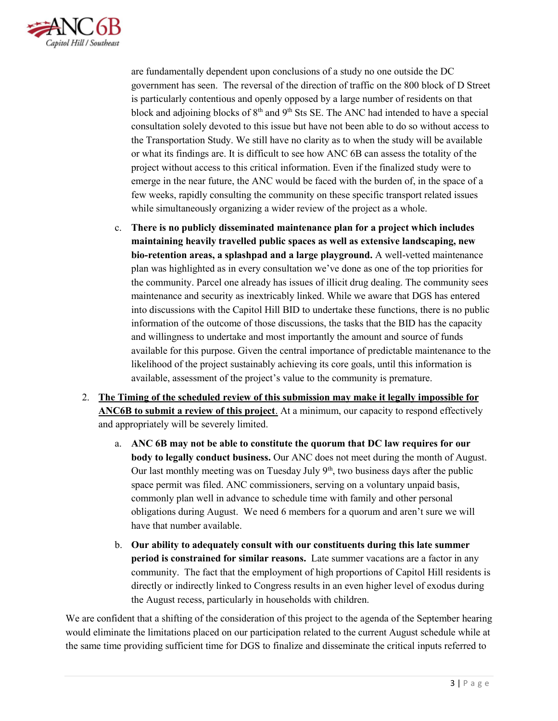

are fundamentally dependent upon conclusions of a study no one outside the DC government has seen. The reversal of the direction of traffic on the 800 block of D Street is particularly contentious and openly opposed by a large number of residents on that block and adjoining blocks of  $8<sup>th</sup>$  and  $9<sup>th</sup>$  Sts SE. The ANC had intended to have a special consultation solely devoted to this issue but have not been able to do so without access to the Transportation Study. We still have no clarity as to when the study will be available or what its findings are. It is difficult to see how ANC 6B can assess the totality of the project without access to this critical information. Even if the finalized study were to emerge in the near future, the ANC would be faced with the burden of, in the space of a few weeks, rapidly consulting the community on these specific transport related issues while simultaneously organizing a wider review of the project as a whole.

- c. **There is no publicly disseminated maintenance plan for a project which includes maintaining heavily travelled public spaces as well as extensive landscaping, new bio-retention areas, a splashpad and a large playground.** A well-vetted maintenance plan was highlighted as in every consultation we've done as one of the top priorities for the community. Parcel one already has issues of illicit drug dealing. The community sees maintenance and security as inextricably linked. While we aware that DGS has entered into discussions with the Capitol Hill BID to undertake these functions, there is no public information of the outcome of those discussions, the tasks that the BID has the capacity and willingness to undertake and most importantly the amount and source of funds available for this purpose. Given the central importance of predictable maintenance to the likelihood of the project sustainably achieving its core goals, until this information is available, assessment of the project's value to the community is premature.
- 2. **The Timing of the scheduled review of this submission may make it legally impossible for ANC6B to submit a review of this project**. At a minimum, our capacity to respond effectively and appropriately will be severely limited.
	- a. **ANC 6B may not be able to constitute the quorum that DC law requires for our body to legally conduct business.** Our ANC does not meet during the month of August. Our last monthly meeting was on Tuesday July  $9<sup>th</sup>$ , two business days after the public space permit was filed. ANC commissioners, serving on a voluntary unpaid basis, commonly plan well in advance to schedule time with family and other personal obligations during August. We need 6 members for a quorum and aren't sure we will have that number available.
	- b. **Our ability to adequately consult with our constituents during this late summer period is constrained for similar reasons.** Late summer vacations are a factor in any community. The fact that the employment of high proportions of Capitol Hill residents is directly or indirectly linked to Congress results in an even higher level of exodus during the August recess, particularly in households with children.

We are confident that a shifting of the consideration of this project to the agenda of the September hearing would eliminate the limitations placed on our participation related to the current August schedule while at the same time providing sufficient time for DGS to finalize and disseminate the critical inputs referred to